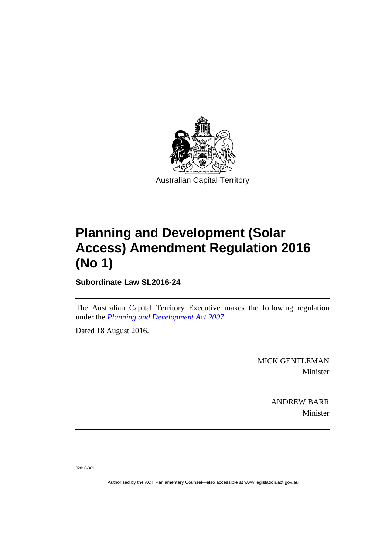

# **Planning and Development (Solar Access) Amendment Regulation 2016 (No 1)**

**Subordinate Law SL2016-24** 

The Australian Capital Territory Executive makes the following regulation under the *[Planning and Development Act 2007](http://www.legislation.act.gov.au/a/2007-24)*.

Dated 18 August 2016.

MICK GENTLEMAN Minister

> ANDREW BARR Minister

J2016-361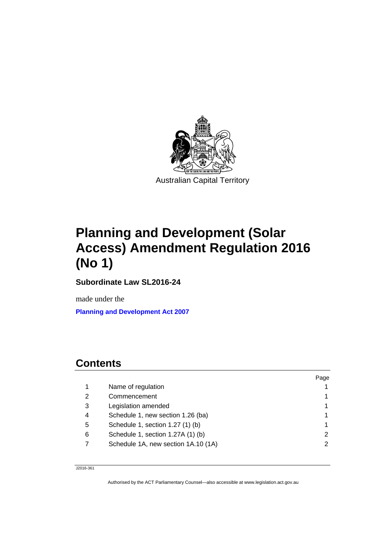

# **Planning and Development (Solar Access) Amendment Regulation 2016 (No 1)**

**Subordinate Law SL2016-24** 

made under the

**[Planning and Development Act 2007](http://www.legislation.act.gov.au/a/2007-24)**

# **Contents**

|   |                                     | Page |
|---|-------------------------------------|------|
|   | Name of regulation                  |      |
| 2 | Commencement                        |      |
| 3 | Legislation amended                 |      |
| 4 | Schedule 1, new section 1.26 (ba)   |      |
| 5 | Schedule 1, section 1.27 (1) (b)    |      |
| 6 | Schedule 1, section 1.27A (1) (b)   | 2    |
|   | Schedule 1A, new section 1A.10 (1A) | 2    |
|   |                                     |      |

J2016-361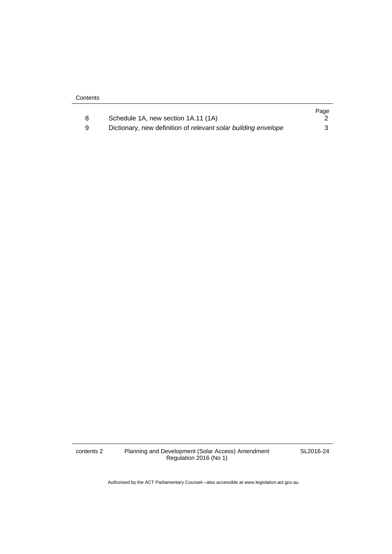|   |                                                                | Page |
|---|----------------------------------------------------------------|------|
|   | Schedule 1A, new section 1A.11 (1A)                            |      |
| 9 | Dictionary, new definition of relevant solar building envelope |      |

contents 2 Planning and Development (Solar Access) Amendment Regulation 2016 (No 1)

SL2016-24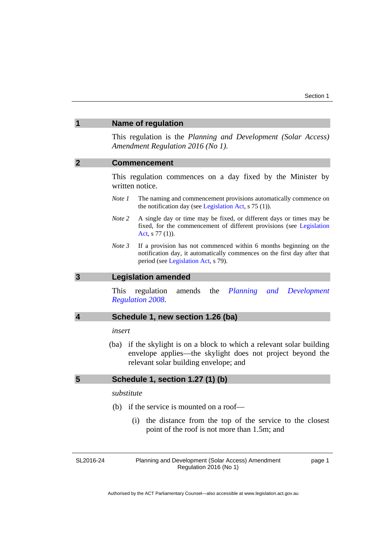<span id="page-4-1"></span><span id="page-4-0"></span>

|                | <b>Name of regulation</b>                                                                                                                                                                      |  |
|----------------|------------------------------------------------------------------------------------------------------------------------------------------------------------------------------------------------|--|
|                | This regulation is the Planning and Development (Solar Access)<br>Amendment Regulation 2016 (No 1).                                                                                            |  |
| $\overline{2}$ | <b>Commencement</b>                                                                                                                                                                            |  |
|                | This regulation commences on a day fixed by the Minister by<br>written notice.                                                                                                                 |  |
|                | Note 1<br>The naming and commencement provisions automatically commence on<br>the notification day (see Legislation Act, s 75 (1)).                                                            |  |
|                | Note 2<br>A single day or time may be fixed, or different days or times may be<br>fixed, for the commencement of different provisions (see Legislation<br>Act, $s$ 77 (1)).                    |  |
|                | Note 3<br>If a provision has not commenced within 6 months beginning on the<br>notification day, it automatically commences on the first day after that<br>period (see Legislation Act, s 79). |  |
| 3              | <b>Legislation amended</b>                                                                                                                                                                     |  |
|                | the<br>Planning<br>This<br>regulation<br>amends<br>Development<br>and<br><b>Regulation 2008.</b>                                                                                               |  |
| 4              | Schedule 1, new section 1.26 (ba)                                                                                                                                                              |  |
|                | insert                                                                                                                                                                                         |  |
|                | (ba) if the skylight is on a block to which a relevant solar building<br>envelope applies—the skylight does not project beyond the<br>relevant solar building envelope; and                    |  |
| 5              | Schedule 1, section 1.27 (1) (b)                                                                                                                                                               |  |
|                | substitute                                                                                                                                                                                     |  |

- <span id="page-4-3"></span><span id="page-4-2"></span> (b) if the service is mounted on a roof—
	- (i) the distance from the top of the service to the closest point of the roof is not more than 1.5m; and

<span id="page-4-4"></span>SL2016-24

Planning and Development (Solar Access) Amendment Regulation 2016 (No 1)

page 1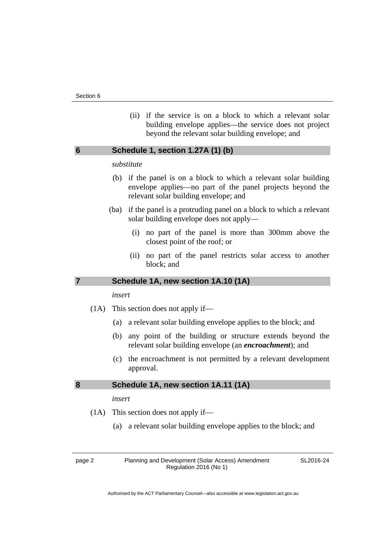(ii) if the service is on a block to which a relevant solar building envelope applies—the service does not project beyond the relevant solar building envelope; and

## <span id="page-5-0"></span>**6 Schedule 1, section 1.27A (1) (b)**

#### *substitute*

- (b) if the panel is on a block to which a relevant solar building envelope applies—no part of the panel projects beyond the relevant solar building envelope; and
- (ba) if the panel is a protruding panel on a block to which a relevant solar building envelope does not apply—
	- (i) no part of the panel is more than 300mm above the closest point of the roof; or
	- (ii) no part of the panel restricts solar access to another block; and

#### <span id="page-5-1"></span>**7 Schedule 1A, new section 1A.10 (1A)**

#### *insert*

- (1A) This section does not apply if—
	- (a) a relevant solar building envelope applies to the block; and
	- (b) any point of the building or structure extends beyond the relevant solar building envelope (an *encroachment*); and
	- (c) the encroachment is not permitted by a relevant development approval.

#### <span id="page-5-2"></span>**8 Schedule 1A, new section 1A.11 (1A)**

#### *insert*

- (1A) This section does not apply if—
	- (a) a relevant solar building envelope applies to the block; and

page 2 Planning and Development (Solar Access) Amendment Regulation 2016 (No 1)

SL2016-24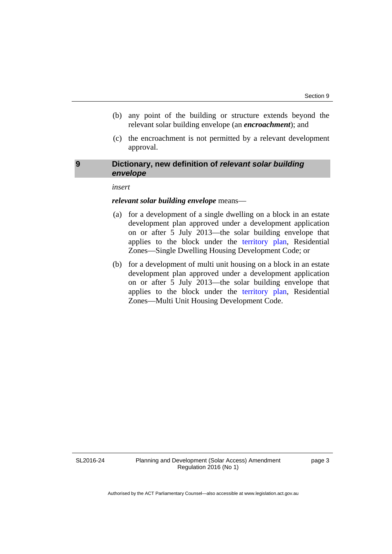- (b) any point of the building or structure extends beyond the relevant solar building envelope (an *encroachment*); and
- (c) the encroachment is not permitted by a relevant development approval.

### <span id="page-6-0"></span>**9 Dictionary, new definition of** *relevant solar building envelope*

#### *insert*

#### *relevant solar building envelope* means—

- (a) for a development of a single dwelling on a block in an estate development plan approved under a development application on or after 5 July 2013—the solar building envelope that applies to the block under the [territory plan,](http://www.legislation.act.gov.au/ni/2008-27/default.asp) Residential Zones—Single Dwelling Housing Development Code; or
- (b) for a development of multi unit housing on a block in an estate development plan approved under a development application on or after 5 July 2013—the solar building envelope that applies to the block under the [territory plan,](http://www.legislation.act.gov.au/ni/2008-27/default.asp) Residential Zones—Multi Unit Housing Development Code.

SL2016-24

Planning and Development (Solar Access) Amendment Regulation 2016 (No 1)

page 3